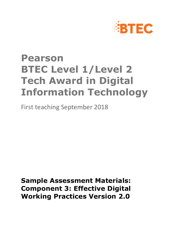

# **Pearson BTEC Level 1/Level 2 Tech Award in Digital Information Technology**

First teaching September 2018

**Sample Assessment Materials: Component 3: Effective Digital Working Practices Version 2.0**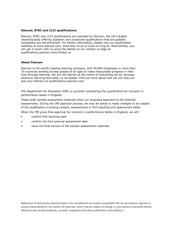#### **Edexcel, BTEC and LCCI qualifications**

Edexcel, BTEC and LCCI qualifications are awarded by Pearson, the UK's largest awarding body offering academic and vocational qualifications that are globally recognised and benchmarked. For further information, please visit our qualification websites at www.edexcel.com, www.btec.co.uk or www.lcci.org.uk. Alternatively, you can get in touch with us using the details on our contact us page at qualifications.pearson.com/contact us

#### **About Pearson**

Pearson is the world's leading learning company, with 40,000 employees in more than 70 countries working to help people of all ages to make measurable progress in their lives through learning. We put the learner at the centre of everything we do, because wherever learning flourishes, so do people. Find out more about how we can help you and your learners at qualifications.pearson.com

The Department for Education (DfE) is currently considering this qualification for inclusion in performance tables in England.

These draft sample assessment materials show our proposed approach to the external assessments. During the DfE approval process, we may be asked to make changes to any aspect of the qualification including content, assessments or first teaching and assessment dates.

When the DfE gives final approval for inclusion in performance tables in England, we will:

- confirm first teaching date
- confirm the first external assessment date
- issue the final version of the sample assessment materials.

*References to third-party material made in this specification are made in good faith. We do not endorse, approve or accept responsibility for the content of materials, which may be subject to change, or any opinions expressed therein. (Material may include textbooks, journals, magazines and other publications and websites.)*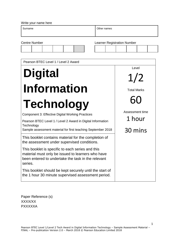| Write your name here                                                                                                                                                   |                                    |  |                    |                 |  |
|------------------------------------------------------------------------------------------------------------------------------------------------------------------------|------------------------------------|--|--------------------|-----------------|--|
| Surname                                                                                                                                                                | Other names                        |  |                    |                 |  |
| <b>Centre Number</b>                                                                                                                                                   | <b>Learner Registration Number</b> |  |                    |                 |  |
| Pearson BTEC Level 1 / Level 2 Award                                                                                                                                   |                                    |  |                    |                 |  |
| <b>Digital</b>                                                                                                                                                         |                                    |  | Level<br>1/2       |                 |  |
| <b>Information</b>                                                                                                                                                     |                                    |  | <b>Total Marks</b> |                 |  |
| <b>Technology</b>                                                                                                                                                      |                                    |  |                    | Assessment time |  |
| <b>Component 3: Effective Digital Working Practices</b><br>Pearson BTEC Level 1 / Level 2 Award in Digital Information<br>Technology                                   |                                    |  | 1 hour             |                 |  |
| Sample assessment material for first teaching September 2018<br>This booklet contains material for the completion of                                                   |                                    |  |                    | 30 mins         |  |
| the assessment under supervised conditions.                                                                                                                            |                                    |  |                    |                 |  |
| This booklet is specific to each series and this<br>material must only be issued to learners who have<br>been entered to undertake the task in the relevant<br>series. |                                    |  |                    |                 |  |
| This booklet should be kept securely until the start of<br>the 1 hour 30 minute supervised assessment period.                                                          |                                    |  |                    |                 |  |

Paper Reference (s) XXXX/XX PXXXXXA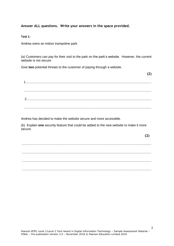#### **Answer ALL questions. Write your answers in the space provided.**

**Task 1:**

Andrea owns an indoor trampoline park.

(a) Customers can pay for their visit to the park on the park's website. However, the current website is not secure.

Give **two** potential threats to the customer of paying through a website.

 1.......................................................................................................................................... ............................................................................................................................................ 2......................................................................................................................................... ............................................................................................................................................

Andrea has decided to make the website secure and more accessible.

(b) Explain **one** security feature that could be added to the new website to make it more secure.

.............................................................................................................................................. .............................................................................................................................................. .............................................................................................................................................. ..............................................................................................................................................

**(2)**

**(2)**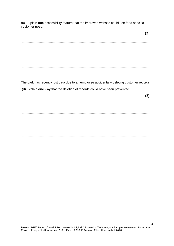(c) Explain one accessibility feature that the improved website could use for a specific customer need.

The park has recently lost data due to an employee accidentally deleting customer records. (d) Explain one way that the deletion of records could have been prevented.

 $(2)$ 

 $(2)$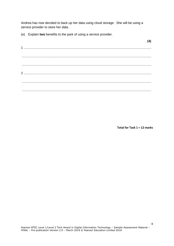Andrea has now decided to back up her data using cloud storage. She will be using a service provider to store her data.

(e) Explain two benefits to the park of using a service provider.

Total for Task  $1 = 12$  marks

 $(4)$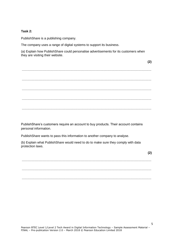#### **Task 2:**

PublishShare is a publishing company.

The company uses a range of digital systems to support its business.

(a) Explain how PublishShare could personalise advertisements for its customers when they are visiting their website.

.............................................................................................................................................. .............................................................................................................................................. .............................................................................................................................................. .............................................................................................................................................. ..............................................................................................................................................

PublishShare's customers require an account to buy products. Their account contains personal information.

PublishShare wants to pass this information to another company to analyse.

(b) Explain what PublishShare would need to do to make sure they comply with data protection laws.

.............................................................................................................................................. .............................................................................................................................................. ..............................................................................................................................................

**(2)**

**(2)**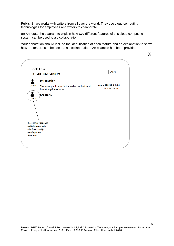PublishShare works with writers from all over the world. They use cloud computing technologies for employees and writers to collaborate.

(c) Annotate the diagram to explain how **two** different features of this cloud computing system can be used to aid collaboration.

Your annotation should include the identification of each feature and an explanation to show how the feature can be used to aid collaboration. An example has been provided

| <b>Book Title</b>                                                                         | File Edit View Comment                                                                               | Share                          |
|-------------------------------------------------------------------------------------------|------------------------------------------------------------------------------------------------------|--------------------------------|
| D<br><b>UserA</b>                                                                         | <b>Introduction</b><br>The latest publication in the series can be found<br>by visiting the website. | Updated 2 mins<br>ago by UserA |
| 2<br><b>UserB</b>                                                                         | <b>Chapter 1</b>                                                                                     |                                |
| User icons show all<br>collaborators who<br>else is currently<br>working on a<br>document |                                                                                                      |                                |

6

**(4)**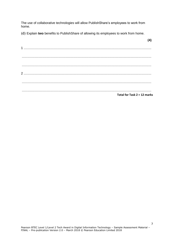The use of collaborative technologies will allow PublishShare's employees to work from home.

(d) Explain two benefits to PublishShare of allowing its employees to work from home.

| Total for Task 2 = 12 marks |
|-----------------------------|

 $(4)$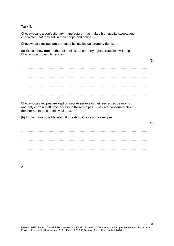#### Task  $3<sup>1</sup>$

Chocawoca is a confectionary manufacturer that makes high quality sweets and chocolates that they sell in their shops and online.

Chocawoca's recipes are protected by intellectual property rights.

(a) Explain how one method of intellectual property rights protection will help Chocawoca protect its recipes.

 $(2)$ 

 $(4)$ 

Chocawoca's recipes are kept on secure servers in their secret recipe rooms and only certain staff have access to these recipes. They are concerned about the internal threats to this vital data

(b) Explain two possible internal threats to Chocawoca's recipes.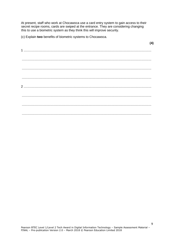At present, staff who work at Chocawoca use a card entry system to gain access to their secret recipe rooms, cards are swiped at the entrance. They are considering changing this to use a biometric system as they think this will improve security.

(c) Explain two benefits of biometric systems to Chocawoca.

 $(4)$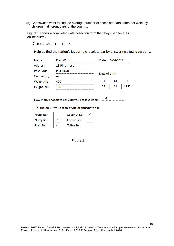(d) Chocawoca want to find the average number of chocolate bars eaten per week by children in different parts of the country.

Figure 1 shows a completed data collection form that they used for their online survey.

Chocawoca Limited

Help us find the nation's favourite chocolate bar by answering a few questions.

| Name           | <b>Fred Wilson</b> |                | Date 15-06-2018            |      |
|----------------|--------------------|----------------|----------------------------|------|
| <b>Address</b> | 19 Pine Close      |                | -------------------------- |      |
| Post Code      | <b>PS39 4AB</b>    |                |                            |      |
| Gender (m/f)   | m                  | Date of birth: |                            |      |
| Weight (Kg)    | 420                | D              | м                          | v    |
| Height (cm)    | 150                | 22             | 11                         | 1985 |

How many chocolate bars did you eat last week? .................................

Tick the box, if you eat this type of chocolate bar.

| <b>Fruity Bar</b> | <b>Coconut Bar</b> |  |
|-------------------|--------------------|--|
| <b>Nutty Bar</b>  | Cookie Bar         |  |
| <b>Plain Bar</b>  | <b>Toffee Bar</b>  |  |

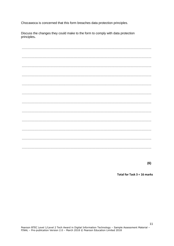Chocawoca is concerned that this form breaches data protection principles.

Discuss the changes they could make to the form to comply with data protection principles.

 $(6)$ 

Total for Task 3 = 16 marks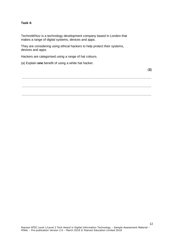#### **Task 4:**

TechnoWhizz is a technology development company based in London that makes a range of digital systems, devices and apps.

They are considering using ethical hackers to help protect their systems, devices and apps.

Hackers are categorised using a range of hat colours.

(a) Explain **one** benefit of using a white hat hacker.

.............................................................................................................................................. .............................................................................................................................................. ..............................................................................................................................................

(**2)**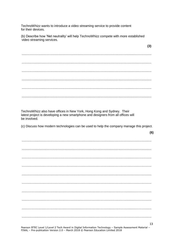TechnoWhizz wants to introduce a video streaming service to provide content for their devices.

(b) Describe how 'Net neutrality' will help TechnoWhizz compete with more established video streaming services.

 $(3)$ 

13

TechnoWhizz also have offices in New York, Hong Kong and Sydney. Their latest project is developing a new smartphone and designers from all offices will be involved. (c) Discuss how modern technologies can be used to help the company manage this project.  $(6)$ 

Pearson BTEC Level 1/Level 2 Tech Award in Digital Information Technology - Sample Assessment Material -FINAL - Pre-publication Version 2.0 - March 2018 © Pearson Education Limited 2018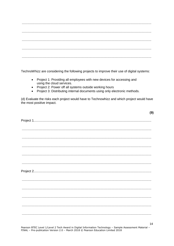TechnoWhizz are considering the following projects to improve their use of digital systems:

- Project 1: Providing all employees with new devices for accessing and  $\bullet$ using the cloud services.
- Project 2: Power off all systems outside working hours  $\bullet$
- Project 3: Distributing internal documents using only electronic methods.  $\bullet$

(d) Evaluate the risks each project would have to Technowhizz and which project would have the most positive impact.

| $\begin{minipage}{0.5\textwidth} \centering \begin{tabular}{ c c c c c c } \hline \multicolumn{1}{ c }{0.5\textwidth} \centering \centering \end{tabular} \end{minipage} \end{minipage} \begin{minipage}{0.5\textwidth} \centering \begin{tabular}{ c c c c c } \hline \multicolumn{1}{ c }{0.5\textwidth} \centering \centering \end{tabular} \end{minipage} \end{minipage} \begin{minipage}{0.5\textwidth} \centering \begin{tabular}{ c c c c c } \hline \multicolumn{1}{ c }{0.5\text$                                                                                                                            |  |
|-----------------------------------------------------------------------------------------------------------------------------------------------------------------------------------------------------------------------------------------------------------------------------------------------------------------------------------------------------------------------------------------------------------------------------------------------------------------------------------------------------------------------------------------------------------------------------------------------------------------------|--|
| $\begin{minipage}{0.5\textwidth} \centering \begin{tabular}{ c c c c c } \hline \multicolumn{1}{ c }{0.5\textwidth} \centering \centering \end{tabular} \end{minipage} \end{minipage} \begin{minipage}{0.5\textwidth} \centering \begin{tabular}{ c c c c } \hline \multicolumn{1}{ c }{0.5\textwidth} \centering \centering \end{tabular} \end{minipage} \end{minipage} \caption{A system of the model of the model. The model of the model of the model. The model of the model of the model. The model of the model of the model of the model. The model of the model of the model of the model. The model of the$ |  |
|                                                                                                                                                                                                                                                                                                                                                                                                                                                                                                                                                                                                                       |  |
|                                                                                                                                                                                                                                                                                                                                                                                                                                                                                                                                                                                                                       |  |
|                                                                                                                                                                                                                                                                                                                                                                                                                                                                                                                                                                                                                       |  |
|                                                                                                                                                                                                                                                                                                                                                                                                                                                                                                                                                                                                                       |  |
|                                                                                                                                                                                                                                                                                                                                                                                                                                                                                                                                                                                                                       |  |
|                                                                                                                                                                                                                                                                                                                                                                                                                                                                                                                                                                                                                       |  |
|                                                                                                                                                                                                                                                                                                                                                                                                                                                                                                                                                                                                                       |  |

Pearson BTEC Level 1/Level 2 Tech Award in Digital Information Technology - Sample Assessment Material -FINAL - Pre-publication Version 2.0 - March 2018 © Pearson Education Limited 2018

 $(9)$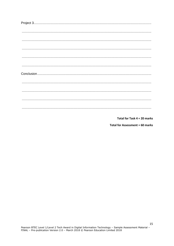Total for Task 4 = 20 marks

**Total for Assessment = 60 marks**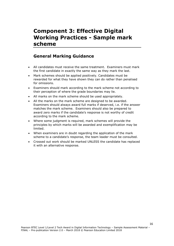## **Component 3: Effective Digital Working Practices - Sample mark scheme**

### **General Marking Guidance**

- All candidates must receive the same treatment. Examiners must mark the first candidate in exactly the same way as they mark the last.
- Mark schemes should be applied positively. Candidates must be rewarded for what they have shown they can do rather than penalised for omissions.
- Examiners should mark according to the mark scheme not according to their perception of where the grade boundaries may lie.
- All marks on the mark scheme should be used appropriately.
- All the marks on the mark scheme are designed to be awarded. Examiners should always award full marks if deserved, i.e. if the answer matches the mark scheme. Examiners should also be prepared to award zero marks if the candidate's response is not worthy of credit according to the mark scheme.
- Where some judgment is required, mark schemes will provide the principles by which marks will be awarded and exemplification may be limited.
- When examiners are in doubt regarding the application of the mark scheme to a candidate's response, the team leader must be consulted.
- Crossed out work should be marked UNLESS the candidate has replaced it with an alternative response.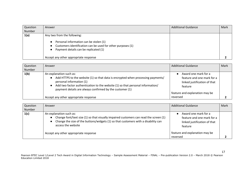| Question<br>Number | Answer                                                                                                                                                                                                                 | <b>Additional Guidance</b> | Mark |
|--------------------|------------------------------------------------------------------------------------------------------------------------------------------------------------------------------------------------------------------------|----------------------------|------|
| 1(a)               | Any two from the following:<br>Personal information can be stolen (1)<br>Customers identification can be used for other purposes (1)<br>Payment details can be replicated (1)<br>Accept any other appropriate response |                            |      |

| Question<br>Number | Answer                                                                                                                                                                                                                                                                                | <b>Additional Guidance</b>                                                                                                                  | Mark |
|--------------------|---------------------------------------------------------------------------------------------------------------------------------------------------------------------------------------------------------------------------------------------------------------------------------------|---------------------------------------------------------------------------------------------------------------------------------------------|------|
| 1(b)               | An explanation such as:<br>Add HTTPS to the website (1) so that data is encrypted when processing payments/<br>personal information (1)<br>Add two factor authentication to the website (1) so that personal information/<br>payment details are always confirmed by the customer (1) | Award one mark for a<br>feature and one mark for a<br>linked justification of that<br>feature<br>feature and explanation may be<br>reversed |      |
|                    | Accept any other appropriate response                                                                                                                                                                                                                                                 |                                                                                                                                             |      |

| Question<br>Number | Answer                                                                                                                                                                                                                                                 | <b>Additional Guidance</b>                                                                    | Mark |
|--------------------|--------------------------------------------------------------------------------------------------------------------------------------------------------------------------------------------------------------------------------------------------------|-----------------------------------------------------------------------------------------------|------|
| 1(c)               | An explanation such as:<br>Change font/text size (1) so that visually impaired customers can read the screen (1)<br>$\bullet$<br>Change the size of the buttons/widgets (1) so that customers with a disability can<br>$\bullet$<br>access the website | Award one mark for a<br>feature and one mark for a<br>linked justification of that<br>feature |      |
|                    | Accept any other appropriate response                                                                                                                                                                                                                  | feature and explanation may be<br>reversed                                                    |      |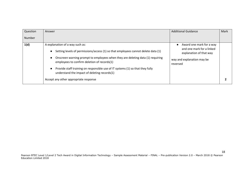| Question | Answer                                                                                                                         | <b>Additional Guidance</b>                           | Mark |
|----------|--------------------------------------------------------------------------------------------------------------------------------|------------------------------------------------------|------|
| Number   |                                                                                                                                |                                                      |      |
| 1(d)     | A explanation of a way such as:                                                                                                | Award one mark for a way<br>$\bullet$                |      |
|          | Setting levels of permissions/access (1) so that employees cannot delete data (1)                                              | and one mark for a linked<br>explanation of that way |      |
|          | Onscreen warning prompt to employees when they are deleting data (1) requiring<br>employees to confirm deletion of records(1)  | way and explanation may be<br>reversed               |      |
|          | Provide staff training on responsible use of IT systems (1) so that they fully<br>understand the impact of deleting records(1) |                                                      |      |
|          | Accept any other appropriate response                                                                                          |                                                      |      |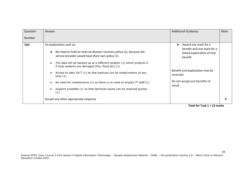| Question      | Answer                                                                                                                                                                                                                                                                                               | <b>Additional Guidance</b>                                                                  | Mark |
|---------------|------------------------------------------------------------------------------------------------------------------------------------------------------------------------------------------------------------------------------------------------------------------------------------------------------|---------------------------------------------------------------------------------------------|------|
| <b>Number</b> |                                                                                                                                                                                                                                                                                                      |                                                                                             |      |
| 1(e)          | An explanation such as:<br>No need to hold an internal disaster recovery policy (1), because the<br>$\bullet$<br>service provider would have their own policy (1).<br>The data will be backed up at a different location (1) which protects it<br>if local systems are damaged (fire, flood etc) (1) | Award one mark for a<br>benefit and one mark for a<br>linked explanation of that<br>benefit |      |
|               | Access to data 24/7 (1) so that backups can be made/restore at any<br>time $(1)$                                                                                                                                                                                                                     | Benefit and explanation may be<br>reversed.                                                 |      |
|               | No need for maintenance $(1)$ so there is no need to employ IT staff $(1)$<br>Support available (1) so that technical issues can be resolved quickly<br>(1)                                                                                                                                          | Do not accept just benefits of<br>cloud                                                     |      |
|               | Accept any other appropriate response                                                                                                                                                                                                                                                                |                                                                                             |      |

**Total for Task 1 = 12 marks**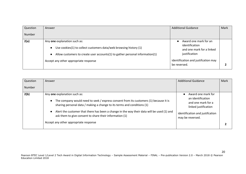| Question<br>Number | Answer                                                                                                                                                                                                                                  | <b>Additional Guidance</b>                                                                                                                   | Mark |
|--------------------|-----------------------------------------------------------------------------------------------------------------------------------------------------------------------------------------------------------------------------------------|----------------------------------------------------------------------------------------------------------------------------------------------|------|
| 2(a)               | Any one explanation such as:<br>Use cookies(1) to collect customers data/web browsing history (1)<br>$\bullet$<br>Allow customers to create user accounts(1) to gather personal information(1)<br>Accept any other appropriate response | Award one mark for an<br>identification<br>and one mark for a linked<br>justification<br>identification and justifcation may<br>be reversed. |      |

| Question<br><b>Number</b> | Answer                                                                                                                                                                                                                                                                                                                                                                                                          | <b>Additional Guidance</b>                                                                                                                     | Mark |
|---------------------------|-----------------------------------------------------------------------------------------------------------------------------------------------------------------------------------------------------------------------------------------------------------------------------------------------------------------------------------------------------------------------------------------------------------------|------------------------------------------------------------------------------------------------------------------------------------------------|------|
| 2(b)                      | Any one explanation such as:<br>The company would need to seek / express consent from its customers (1) because it is<br>$\bullet$<br>sharing personal data / making a change to its terms and conditions (1)<br>Alert the customer that there has been a change in the way their data will be used (1) and<br>ask them to give consent to share their information (1)<br>Accept any other appropriate response | • Award one mark for<br>an identification<br>and one mark for a<br>linked justification<br>identification and justifcation<br>may be reversed. |      |
|                           |                                                                                                                                                                                                                                                                                                                                                                                                                 |                                                                                                                                                |      |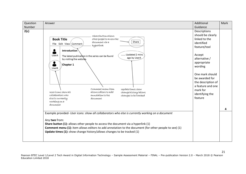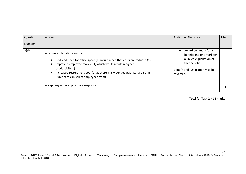| Question<br>Number | Answer                                                                                                                                                                                                                                                                                                                                                                                           | <b>Additional Guidance</b>                                                                                                                               | Mark |
|--------------------|--------------------------------------------------------------------------------------------------------------------------------------------------------------------------------------------------------------------------------------------------------------------------------------------------------------------------------------------------------------------------------------------------|----------------------------------------------------------------------------------------------------------------------------------------------------------|------|
| 2(d)               | Any two explanations such as:<br>Reduced need for office space (1) would mean that costs are reduced (1)<br>$\bullet$<br>Improved employee morale (1) which would result in higher<br>$\bullet$<br>productivity(1)<br>Increased recruitment pool (1) as there is a wider geographical area that<br>$\bullet$<br>Publishare can select employees from(1)<br>Accept any other appropriate response | Award one mark for a<br>$\bullet$<br>benefit and one mark for<br>a linked explanation of<br>that benefit<br>Benefit and justifcation may be<br>reversed. |      |

**Total for Task 2 = 12 marks**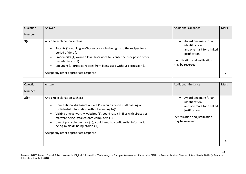| Question | Answer                                                                                                                                                                                                                                                                                               | <b>Additional Guidance</b>                                                                                                                   | Mark |
|----------|------------------------------------------------------------------------------------------------------------------------------------------------------------------------------------------------------------------------------------------------------------------------------------------------------|----------------------------------------------------------------------------------------------------------------------------------------------|------|
| Number   |                                                                                                                                                                                                                                                                                                      |                                                                                                                                              |      |
| 3(a)     | Any one explanation such as:<br>Patents (1) would give Chocawoca exclusive rights to the recipes for a<br>period of time (1)<br>Trademarks (1) would allow Chocawoca to license their recipes to other<br>manufacturers (1)<br>Copyright (1) protects recipes from being used without permission (1) | Award one mark for an<br>identification<br>and one mark for a linked<br>justification<br>identification and justifcation<br>may be reversed. |      |
|          | Accept any other appropriate response                                                                                                                                                                                                                                                                |                                                                                                                                              |      |

| Question      | Answer                                                                                                                                                                                                                                                                                                                                                                                                                                                                       | <b>Additional Guidance</b>                                                                                                                                | Mark |
|---------------|------------------------------------------------------------------------------------------------------------------------------------------------------------------------------------------------------------------------------------------------------------------------------------------------------------------------------------------------------------------------------------------------------------------------------------------------------------------------------|-----------------------------------------------------------------------------------------------------------------------------------------------------------|------|
| <b>Number</b> |                                                                                                                                                                                                                                                                                                                                                                                                                                                                              |                                                                                                                                                           |      |
| 3(b)          | Any one explanation such as:<br>Unintentional disclosure of data (1), would involve staff passing on<br>$\bullet$<br>confidential information without meaning to(1)<br>Visiting untrustworthy websites (1), could result in files with viruses or<br>$\bullet$<br>malware being installed onto computers (1)<br>Use of portable devices (1), could lead to confidential information<br>$\bullet$<br>being mislaid/ being stolen (1)<br>Accept any other appropriate response | Award one mark for an<br>$\bullet$<br>identification<br>and one mark for a linked<br>justification<br>identification and justifcation<br>may be reversed. |      |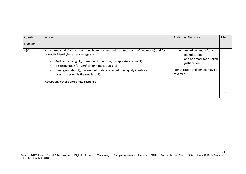| Question<br>Number | Answer                                                                                                                                                                                                                                                                                                                                                                                                                            | <b>Additional Guidance</b>                                                                                                                           | Mark |
|--------------------|-----------------------------------------------------------------------------------------------------------------------------------------------------------------------------------------------------------------------------------------------------------------------------------------------------------------------------------------------------------------------------------------------------------------------------------|------------------------------------------------------------------------------------------------------------------------------------------------------|------|
| 3(c)               | Award one mark for each identified biometric method (to a maximum of two marks) and for<br>correctly identifying an advantage (1)<br>Retinal scanning $(1)$ , there is no known way to replicate a retina $(1)$<br>Iris recognition (1), verification time is quick (1)<br>Hand geometry (1), the amount of data required to uniquely identify a<br>user in a system is the smallest (1)<br>Accept any other appropriate response | Award one mark for an<br>$\bullet$<br>identification<br>and one mark for a linked<br>justification<br>identification and benefit may be<br>reversed. |      |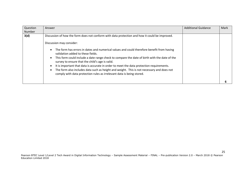| Question<br><b>Number</b> | Answer                                                                                                                                                                                                                                                                                                                                                                                                                                                                                                                                                                                                   | <b>Additional Guidance</b> | Mark |
|---------------------------|----------------------------------------------------------------------------------------------------------------------------------------------------------------------------------------------------------------------------------------------------------------------------------------------------------------------------------------------------------------------------------------------------------------------------------------------------------------------------------------------------------------------------------------------------------------------------------------------------------|----------------------------|------|
| 3(d)                      | Discussion of how the form does not conform with data protection and how it could be improved.<br>Discussion may consider:<br>The form has errors in dates and numerical values and could therefore benefit from having<br>validation added to these fields.<br>This form could include a date range check to compare the date of birth with the date of the<br>survey to ensure that the child's age is valid.<br>It is important that data is accurate in order to meet the data protection requirements.<br>The form also includes data such as height and weight. This is not necessary and does not |                            |      |
|                           | comply with data protection rules as irrelevant data is being stored.                                                                                                                                                                                                                                                                                                                                                                                                                                                                                                                                    |                            |      |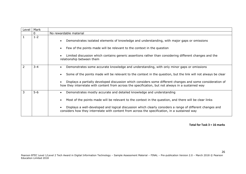| Level | Mark         |                                                                                                                                                                                                                                                                                                                                                                                                                                 |
|-------|--------------|---------------------------------------------------------------------------------------------------------------------------------------------------------------------------------------------------------------------------------------------------------------------------------------------------------------------------------------------------------------------------------------------------------------------------------|
|       | $\mathbf{0}$ | No rewardable material                                                                                                                                                                                                                                                                                                                                                                                                          |
|       | $1 - 2$      | Demonstrates isolated elements of knowledge and understanding, with major gaps or omissions<br>$\bullet$<br>Few of the points made will be relevant to the context in the question<br>Limited discussion which contains generic assertions rather than considering different changes and the<br>relationship between them                                                                                                       |
| 2     | $3 - 4$      | Demonstrates some accurate knowledge and understanding, with only minor gaps or omissions<br>Some of the points made will be relevant to the context in the question, but the link will not always be clear<br>Displays a partially developed discussion which considers some different changes and some consideration of<br>how they interrelate with content from across the specification, but not always in a sustained way |
| 3     | $5-6$        | Demonstrates mostly accurate and detailed knowledge and understanding<br>Most of the points made will be relevant to the context in the question, and there will be clear links<br>Displays a well-developed and logical discussion which clearly considers a range of different changes and<br>considers how they interrelate with content from across the specification, in a sustained way                                   |

**Total for Task 3 = 16 marks**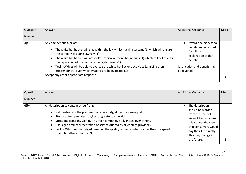| Question | Answer                                                                                                                                                                                                                                                                                                                                      | <b>Additional Guidance</b>                                                                     | Mark |
|----------|---------------------------------------------------------------------------------------------------------------------------------------------------------------------------------------------------------------------------------------------------------------------------------------------------------------------------------------------|------------------------------------------------------------------------------------------------|------|
| Number   |                                                                                                                                                                                                                                                                                                                                             |                                                                                                |      |
| 4(a)     | Any one benefit such as:<br>The white hat hacker will stay within the law whilst hacking systems (1) which will ensure<br>$\bullet$<br>the company is acting lawfully (1)<br>The white hat hacker will not violate ethical or moral boundaries (1) which will not result in<br>$\bullet$<br>the reputation of the company being damaged (1) | Award one mark for a<br>benefit and one mark<br>for a linked<br>explanation of that<br>benefit |      |
|          | TechnoWhizz will be able to oversee the white hat hackers activities (1) giving them<br>$\bullet$<br>greater control over which systems are being tested (1)<br>Accept any other appropriate response                                                                                                                                       | justification and benefit may<br>be reversed.                                                  |      |

| Question | Answer                                                                                                                                                                                                                                                                                                                                                                                                                                                                                                                                                                                                                                                                                                     | <b>Additional Guidance</b> | Mark |
|----------|------------------------------------------------------------------------------------------------------------------------------------------------------------------------------------------------------------------------------------------------------------------------------------------------------------------------------------------------------------------------------------------------------------------------------------------------------------------------------------------------------------------------------------------------------------------------------------------------------------------------------------------------------------------------------------------------------------|----------------------------|------|
| Number   |                                                                                                                                                                                                                                                                                                                                                                                                                                                                                                                                                                                                                                                                                                            |                            |      |
| 4(b)     | An description to contain three from:<br>The description<br>should be worded<br>Net neutrality is the premise that everybody/all services are equal<br>$\bullet$<br>from the point of<br>Stops content providers paying for greater bandwidth.<br>$\bullet$<br>view of TechnoWhizz.<br>Stops one company gaining an unfair competitive advantage over others.<br>It is not yet the case<br>Users get a fair representation of service offered by all content providers.<br>$\bullet$<br>that consumers would<br>TechnoWhizz will be judged based on the quality of their content rather than the speed<br>pay their ISP directly.<br>that it is delivered by the ISP.<br>This may change in<br>the future. |                            |      |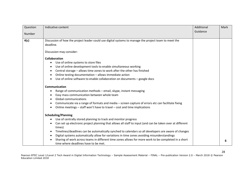| Question      | Indicative content                                                                                                                           | Additional | Mark |
|---------------|----------------------------------------------------------------------------------------------------------------------------------------------|------------|------|
| <b>Number</b> |                                                                                                                                              | Guidance   |      |
|               |                                                                                                                                              |            |      |
| 4(c)          | Discussion of how the project leader could use digital systems to manage the project team to meet the                                        |            |      |
|               | deadline.                                                                                                                                    |            |      |
|               | Discussion may consider:                                                                                                                     |            |      |
|               | <b>Collaboration</b>                                                                                                                         |            |      |
|               | Use of online systems to store files<br>$\bullet$                                                                                            |            |      |
|               | Use of online development tools to enable simultaneous working                                                                               |            |      |
|               | Central storage - allows time zones to work after the other has finished                                                                     |            |      |
|               | Online testing documentation - allows immediate action                                                                                       |            |      |
|               | Use of online software to enable collaboration on documents - google docs                                                                    |            |      |
|               | Communication                                                                                                                                |            |      |
|               | Range of communication methods - email, skype, instant messaging                                                                             |            |      |
|               | Easy mass communication between whole team                                                                                                   |            |      |
|               | <b>Global communications</b>                                                                                                                 |            |      |
|               | Communicate via a range of formats and media - screen capture of errors etc can facilitate fixing                                            |            |      |
|               | Online meetings - staff won't have to travel - cost and time implications                                                                    |            |      |
|               | <b>Scheduling/Planning</b>                                                                                                                   |            |      |
|               | Use of centrally stored planning to track and monitor progress                                                                               |            |      |
|               | Can set up electronic project planning that allows all staff to input (and can be taken over at different<br>times)                          |            |      |
|               | Timelines/deadlines can be automatically synched to calendars so all developers are aware of changes                                         |            |      |
|               | Digital systems automatically allow for variations in time zones avoiding misunderstandings                                                  |            |      |
|               | Sharing of work across teams in different time zones allows for more work to be completed in a short<br>time where deadlines have to be met. |            | 6    |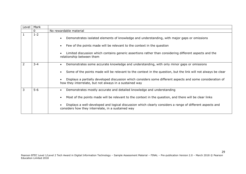| Level | Mark    |                                                                                                                                                                                                                                                                                                                                                                                      |
|-------|---------|--------------------------------------------------------------------------------------------------------------------------------------------------------------------------------------------------------------------------------------------------------------------------------------------------------------------------------------------------------------------------------------|
|       | 0       | No rewardable material                                                                                                                                                                                                                                                                                                                                                               |
|       | $1 - 2$ | Demonstrates isolated elements of knowledge and understanding, with major gaps or omissions<br>Few of the points made will be relevant to the context in the question<br>Limited discussion which contains generic assertions rather than considering different aspects and the<br>relationship between them                                                                         |
|       | $3 - 4$ | Demonstrates some accurate knowledge and understanding, with only minor gaps or omissions<br>Some of the points made will be relevant to the context in the question, but the link will not always be clear<br>Displays a partially developed discussion which considers some different aspects and some consideration of<br>how they interrelate, but not always in a sustained way |
| 3     | $5-6$   | Demonstrates mostly accurate and detailed knowledge and understanding<br>Most of the points made will be relevant to the context in the question, and there will be clear links<br>Displays a well-developed and logical discussion which clearly considers a range of different aspects and<br>considers how they interrelate, in a sustained way                                   |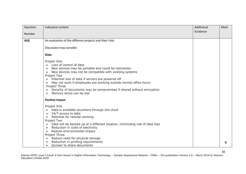| Question | Indicative content                                                           | Additional | Mark |
|----------|------------------------------------------------------------------------------|------------|------|
|          |                                                                              | Guidance   |      |
| Number   |                                                                              |            |      |
| 4(d)     | An evaluation of the different projects and their risks.                     |            |      |
|          |                                                                              |            |      |
|          | Discussion may consider:                                                     |            |      |
|          | <b>Risks</b>                                                                 |            |      |
|          | Project One                                                                  |            |      |
|          | Loss of control of data                                                      |            |      |
|          | New devices may be portable and could be lost/stolen                         |            |      |
|          | New devices may not be compatible with existing systems                      |            |      |
|          | Project Two                                                                  |            |      |
|          | Potential loss of data if servers are powered off                            |            |      |
|          | May not work if employees are working outside normal office hours            |            |      |
|          | Project Three                                                                |            |      |
|          | Security of documents may be compromised if shared without encryption        |            |      |
|          | Memory sticks can be lost                                                    |            |      |
|          | <b>Positive Impact</b>                                                       |            |      |
|          | Project One                                                                  |            |      |
|          | Data is available anywhere through the cloud                                 |            |      |
|          | 24/7 access to data                                                          |            |      |
|          | Potential for remote working<br>$\bullet$                                    |            |      |
|          | Project Two                                                                  |            |      |
|          | Data will be backed up at a different location, minimising risk of data loss |            |      |
|          | Reduction in costs of electricity                                            |            |      |
|          | Reduce environmental impact                                                  |            |      |
|          | Project Three                                                                |            |      |
|          | Reduce need for physical storage                                             |            |      |
|          | Reduction in printing requirements<br>Quicker to share documents             |            | 9    |
|          |                                                                              |            |      |

30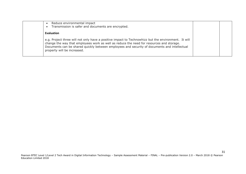| Reduce environmental impact<br>Transmission is safer and documents are encrypted.                                                                                                                                                                                                                                              |  |
|--------------------------------------------------------------------------------------------------------------------------------------------------------------------------------------------------------------------------------------------------------------------------------------------------------------------------------|--|
| Evaluation                                                                                                                                                                                                                                                                                                                     |  |
| e.g. Project three will not only have a positive impact to Technowhizz but the environment. It will<br>change the way that employees work as well as reduce the need for resources and storage.<br>Documents can be shared quickly between employees and security of documents and intellectual<br>property will be increased. |  |